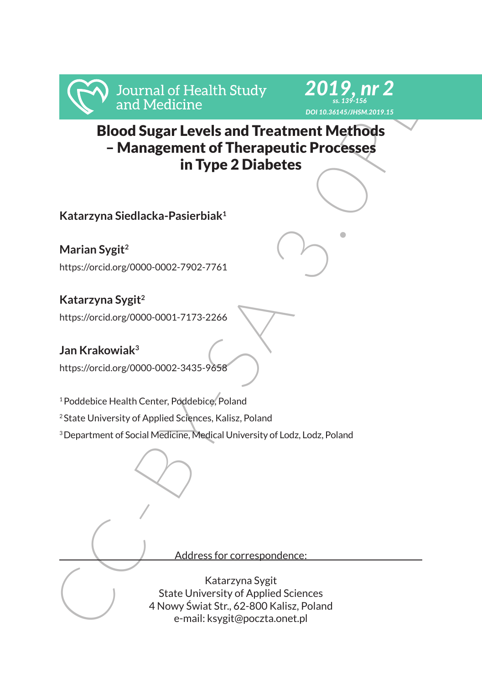



Frankr Marian Sygit<br>
Management of Therapeutic Processes<br>
Elood Sugar Levels and Treatment Methods<br>
- Management of Therapeutic Processes<br>
Katarzyna Siedlacka-Pasierblak<sup>1</sup><br>
Marian Sygit<sup>2</sup><br>
Matarzyna Siedlacka-Pasierblak<sup></sup> Blood Sugar Levels and Treatment Methods – Management of Therapeutic Processes in Type 2 Diabetes

**Katarzyna Siedlacka-Pasierbiak1**

**Marian Sygit2** https://orcid.org/0000-0002-7902-7761

**Katarzyna Sygit2** https://orcid.org/0000-0001-7173-2266

**Jan Krakowiak3** https://orcid.org/0000-0002-3435-9658

<sup>1</sup> Poddebice Health Center, Poddebice, Poland

2 State University of Applied Sciences, Kalisz, Poland

<sup>3</sup> Department of Social Medicine, Medical University of Lodz, Lodz, Poland

Address for correspondence:

Katarzyna Sygit State University of Applied Sciences 4 Nowy Świat Str., 62-800 Kalisz, Poland e-mail: ksygit@poczta.onet.pl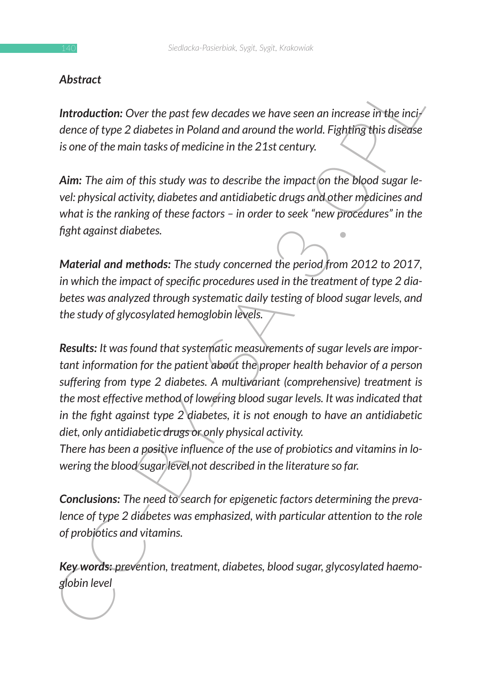### *Abstract*

*Introduction: Over the past few decades we have seen an increase in the incidence of type 2 diabetes in Poland and around the world. Fighting this disease is one of the main tasks of medicine in the 21st century.*

Aim: The aim of this study was to describe the impact on the blood sugar le*vel: physical activity, diabetes and antidiabetic drugs and other medicines and what is the ranking of these factors – in order to seek "new procedures" in the fight against diabetes.* 

*Material and methods: The study concerned the period from 2012 to 2017, in which the impact of specific procedures used in the treatment of type 2 diabetes was analyzed through systematic daily testing of blood sugar levels, and the study of glycosylated hemoglobin levels.*

**Introduction:** Over the past few decades we have seen an increase in the incidence of type 2 diabetes in Poland and around the world. Fighting this disease is one of the main tasks of medicine in the 21st century.<br>
Aim: *Results: It was found that systematic measurements of sugar levels are important information for the patient about the proper health behavior of a person suffering from type 2 diabetes. A multivariant (comprehensive) treatment is the most effective method of lowering blood sugar levels. It was indicated that in the fight against type 2 diabetes, it is not enough to have an antidiabetic diet, only antidiabetic drugs or only physical activity.*

*There has been a positive influence of the use of probiotics and vitamins in lowering the blood sugar level not described in the literature so far.*

*Conclusions: The need to search for epigenetic factors determining the prevalence of type 2 diabetes was emphasized, with particular attention to the role of probiotics and vitamins.*

*Key words: prevention, treatment, diabetes, blood sugar, glycosylated haemoglobin level*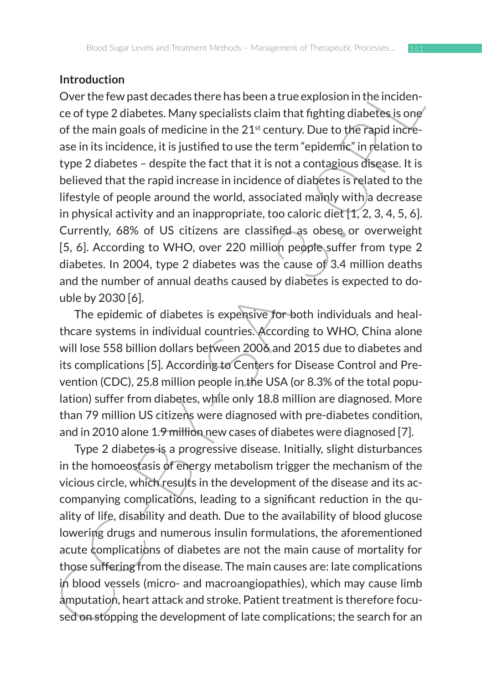#### **Introduction**

Involution<br>Over the few past decades there has been a true explosion in the incidence of type 2 diabetes. Many specialists claim that fighting diabetes is one<br>of the main goals of medicine in the 2<sup>2</sup> rentury. Due to the Over the few past decades there has been a true explosion in the incidence of type 2 diabetes. Many specialists claim that fighting diabetes is one of the main goals of medicine in the 21<sup>st</sup> century. Due to the rapid increase in its incidence, it is justified to use the term "epidemic" in relation to type 2 diabetes – despite the fact that it is not a contagious disease. It is believed that the rapid increase in incidence of diabetes is related to the lifestyle of people around the world, associated mainly with a decrease in physical activity and an inappropriate, too caloric diet [1, 2, 3, 4, 5, 6]. Currently, 68% of US citizens are classified as obese or overweight [5, 6]. According to WHO, over 220 million people suffer from type 2 diabetes. In 2004, type 2 diabetes was the cause of 3.4 million deaths and the number of annual deaths caused by diabetes is expected to double by 2030 [6].

The epidemic of diabetes is expensive for both individuals and healthcare systems in individual countries. According to WHO, China alone will lose 558 billion dollars between 2006 and 2015 due to diabetes and its complications [5]. According to Centers for Disease Control and Prevention (CDC), 25.8 million people in the USA (or 8.3% of the total population) suffer from diabetes, while only 18.8 million are diagnosed. More than 79 million US citizens were diagnosed with pre-diabetes condition, and in 2010 alone 1.9 million new cases of diabetes were diagnosed [7].

Type 2 diabetes is a progressive disease. Initially, slight disturbances in the homoeostasis of energy metabolism trigger the mechanism of the vicious circle, which results in the development of the disease and its accompanying complications, leading to a significant reduction in the quality of life, disability and death. Due to the availability of blood glucose lowering drugs and numerous insulin formulations, the aforementioned acute complications of diabetes are not the main cause of mortality for those suffering from the disease. The main causes are: late complications in blood vessels (micro- and macroangiopathies), which may cause limb amputation, heart attack and stroke. Patient treatment is therefore focused on stopping the development of late complications; the search for an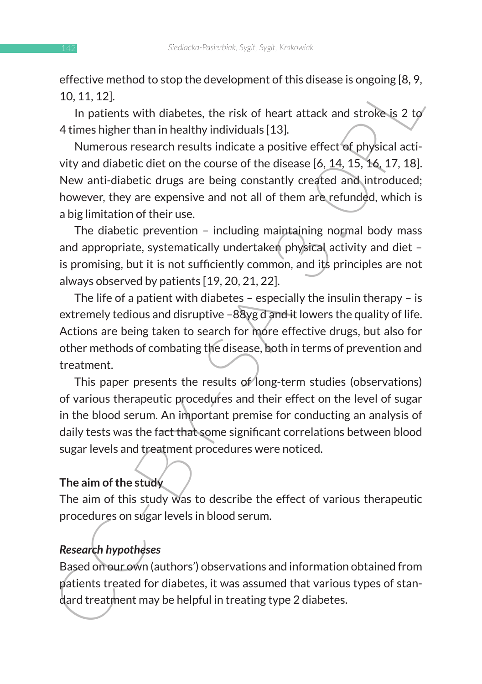effective method to stop the development of this disease is ongoing [8, 9, 10, 11, 12].

In patients with diabetes, the risk of heart attack and stroke is 2 to 4 times higher than in healthy individuals [13].

encure mention to stop the development or this disease is ongoing (o, 7,<br>10, 11, 12].<br>
In patients with diabetes, the risk of heart attack and stroke-is 2 to<br>
dimension the althy individuals 113].<br>
Numerous research result Numerous research results indicate a positive effect of physical activity and diabetic diet on the course of the disease [6, 14, 15, 16, 17, 18]. New anti-diabetic drugs are being constantly created and introduced; however, they are expensive and not all of them are refunded, which is a big limitation of their use.

The diabetic prevention – including maintaining normal body mass and appropriate, systematically undertaken physical activity and diet is promising, but it is not sufficiently common, and its principles are not always observed by patients [19, 20, 21, 22].

The life of a patient with diabetes – especially the insulin therapy – is extremely tedious and disruptive –88yg d and it lowers the quality of life. Actions are being taken to search for more effective drugs, but also for other methods of combating the disease, both in terms of prevention and treatment.

This paper presents the results of long-term studies (observations) of various therapeutic procedures and their effect on the level of sugar in the blood serum. An important premise for conducting an analysis of daily tests was the fact that some significant correlations between blood sugar levels and treatment procedures were noticed.

# **The aim of the study**

The aim of this study was to describe the effect of various therapeutic procedures on sugar levels in blood serum.

# *Research hypotheses*

Based on our own (authors') observations and information obtained from patients treated for diabetes, it was assumed that various types of standard treatment may be helpful in treating type 2 diabetes.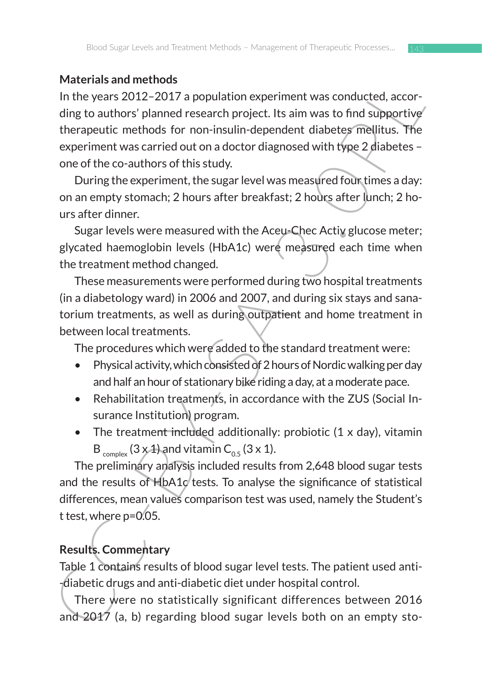## **Materials and methods**

Muertians and metaluotasion and the results of the results and the results Conding to authors' planned research project. Its aim was to find subportive<br>threparentic methods for non-insulin-dependent diabetes mellitius. Th In the years 2012–2017 a population experiment was conducted, according to authors' planned research project. Its aim was to find supportive therapeutic methods for non-insulin-dependent diabetes mellitus. The experiment was carried out on a doctor diagnosed with type 2 diabetes – one of the co-authors of this study.

During the experiment, the sugar level was measured four times a day: on an empty stomach; 2 hours after breakfast; 2 hours after lunch; 2 hours after dinner.

Sugar levels were measured with the Aceu-Chec Activ glucose meter; glycated haemoglobin levels (HbA1c) were measured each time when the treatment method changed.

These measurements were performed during two hospital treatments (in a diabetology ward) in 2006 and 2007, and during six stays and sanatorium treatments, as well as during outpatient and home treatment in between local treatments.

The procedures which were added to the standard treatment were:

- Physical activity, which consisted of 2 hours of Nordic walking per day and half an hour of stationary bike riding a day, at a moderate pace.
- Rehabilitation treatments, in accordance with the ZUS (Social Insurance Institution) program.
- The treatment included additionally: probiotic  $(1 \times day)$ , vitamin  $B_{\text{complex}}$  (3 x 1) and vitamin  $C_{0.5}$  (3 x 1).

The preliminary analysis included results from 2,648 blood sugar tests and the results of  $H<sub>b</sub>A1c$  tests. To analyse the significance of statistical differences, mean values comparison test was used, namely the Student's t test, where p=0.05.

# **Results. Commentary**

Table 1 contains results of blood sugar level tests. The patient used anti- -diabetic drugs and anti-diabetic diet under hospital control.

There were no statistically significant differences between 2016 and 2017 (a, b) regarding blood sugar levels both on an empty sto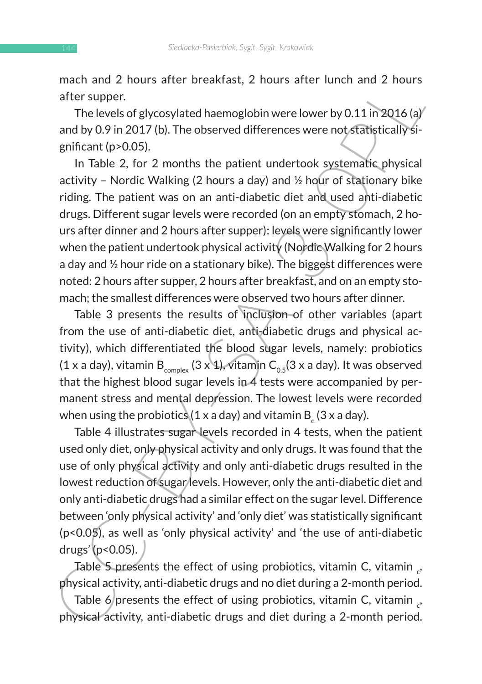mach and 2 hours after breakfast, 2 hours after lunch and 2 hours after supper.

The levels of glycosylated haemoglobin were lower by 0.11 in 2016 (a) and by 0.9 in 2017 (b). The observed differences were not statistically significant (p>0.05).

matri and 2 nours are the the states, and the matrimon and 2 nours after supper.<br>
The levels of glycosylated haemoglobin were lower by 0.11 in 2016 (a)<br>
and by 0.9 in 2017 (b). The observed differences were not startingly In Table 2, for 2 months the patient undertook systematic physical activity - Nordic Walking (2 hours a day) and  $\frac{1}{2}$  hour of stationary bike riding. The patient was on an anti-diabetic diet and used anti-diabetic drugs. Different sugar levels were recorded (on an empty stomach, 2 hours after dinner and 2 hours after supper): levels were significantly lower when the patient undertook physical activity (Nordic Walking for 2 hours a day and  $\frac{1}{2}$  hour ride on a stationary bike). The biggest differences were noted: 2 hours after supper, 2 hours after breakfast, and on an empty stomach; the smallest differences were observed two hours after dinner.

Table 3 presents the results of inclusion of other variables (apart from the use of anti-diabetic diet, anti-diabetic drugs and physical activity), which differentiated the blood sugar levels, namely: probiotics (1 x a day), vitamin B<sub>complex</sub> (3 x 1), vitamin C<sub>0.5</sub>(3 x a day). It was observed that the highest blood sugar levels in  $\overline{4}$  tests were accompanied by permanent stress and mental depression. The lowest levels were recorded when using the probiotics (1 x a day) and vitamin B  $_{\textrm{\scriptsize c}}$  (3 x a day).

Table 4 illustrates sugar levels recorded in 4 tests, when the patient used only diet, only physical activity and only drugs. It was found that the use of only physical activity and only anti-diabetic drugs resulted in the lowest reduction of sugar levels. However, only the anti-diabetic diet and only anti-diabetic drugs had a similar effect on the sugar level. Difference between 'only physical activity' and 'only diet' was statistically significant (p<0.05), as well as 'only physical activity' and 'the use of anti-diabetic drugs'  $(p<0.05)$ .

Table 5 presents the effect of using probiotics, vitamin C, vitamin  $_{c}$ , physical activity, anti-diabetic drugs and no diet during a 2-month period.

Table 6 presents the effect of using probiotics, vitamin C, vitamin  $_{c}$ , physical activity, anti-diabetic drugs and diet during a 2-month period.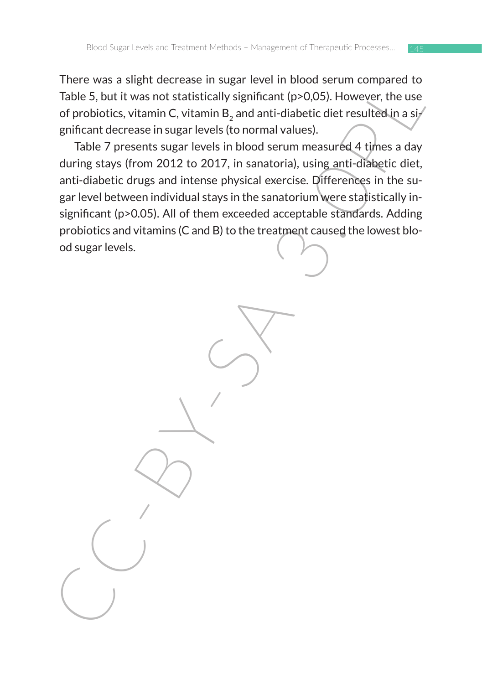There was a slight decrease in sugar level in blood serum compared to Table 5, but it was not statistically significant (p>0,05). However, the use of probiotics, vitamin C, vitamin B<sub>2</sub> and anti-diabetic diet resulted in a si $/$ gnificant decrease in sugar levels (to normal values).

Finder was a singur decrease in sugar level in the district of the state of probiotics, vitamin C, vitamin B<sub>s</sub> and anti-diabetic diet resulted in a significant decrease in sugar levels in blood serum measured 4 times a da Table 7 presents sugar levels in blood serum measured 4 times a day during stays (from 2012 to 2017, in sanatoria), using anti-diabetic diet, anti-diabetic drugs and intense physical exercise. Differences in the sugar level between individual stays in the sanatorium were statistically insignificant (p>0.05). All of them exceeded acceptable standards. Adding probiotics and vitamins (C and B) to the treatment caused the lowest blood sugar levels.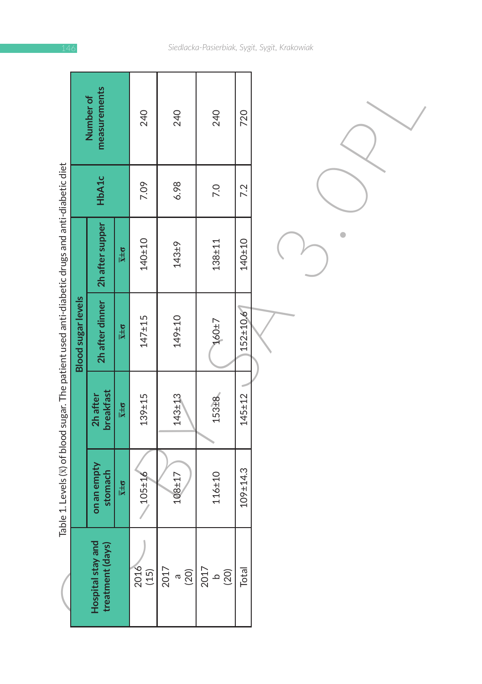| こみとう ならら りょうこう リニ          |
|----------------------------|
|                            |
|                            |
|                            |
|                            |
|                            |
|                            |
|                            |
|                            |
|                            |
|                            |
|                            |
|                            |
| -<br>1<br>1<br>1           |
| $\frac{1}{2}$              |
|                            |
|                            |
|                            |
|                            |
|                            |
|                            |
|                            |
|                            |
|                            |
| .<br>.<br>.<br>.<br>.<br>. |
|                            |
|                            |
|                            |
|                            |
|                            |
|                            |
|                            |
| J                          |
|                            |
| l                          |
| .<br>.<br>.                |
|                            |
|                            |
|                            |
|                            |
|                            |
|                            |
|                            |
|                            |
| Ì                          |
|                            |
|                            |
|                            |
|                            |
|                            |
| $\ddot{\phantom{a}}$       |
|                            |
| $\vdots$                   |
|                            |
|                            |
| .<br>.<br>.                |

|                                                                                                         |                           | measurements<br>Number of             |                           | 240            | 240                       | 240               | 720            |  |
|---------------------------------------------------------------------------------------------------------|---------------------------|---------------------------------------|---------------------------|----------------|---------------------------|-------------------|----------------|--|
|                                                                                                         |                           | HbA1c                                 |                           | 7.09           | 6.98                      | 7.0               | 7.2            |  |
| Table 1. Levels $(\bar{x})$ of blood sugar. The patient used anti-diabetic drugs and anti-diabetic diet |                           | 2h after supper                       | $\overline{x} \pm \sigma$ | $140 + 10$     | $143 + 9$                 | $138 + 11$        | $140 + 10$     |  |
|                                                                                                         | <b>Blood sugar levels</b> | 2h after dinner                       | $\overline{x} \pm \sigma$ | $147 + 15$     | 149±10                    | $160 + 7$         | $152 \pm 10.6$ |  |
|                                                                                                         |                           | breakfast<br>2h after                 | $\overline{x} \pm \sigma$ | $139 + 15$     | $143 + 13$                | 153 <sup>28</sup> | $145 + 12$     |  |
|                                                                                                         |                           | on an empty<br>stomach                | $\overline{x} \pm \sigma$ | $105 + 16$     | $108 + 17$                | $116 + 10$        | $109 + 14.3$   |  |
|                                                                                                         |                           | Hospital stay and<br>treatment (days) |                           | $2016$<br>(15) | $2017$<br>$(a)$<br>$(20)$ | $\frac{1}{2017}$  | Total          |  |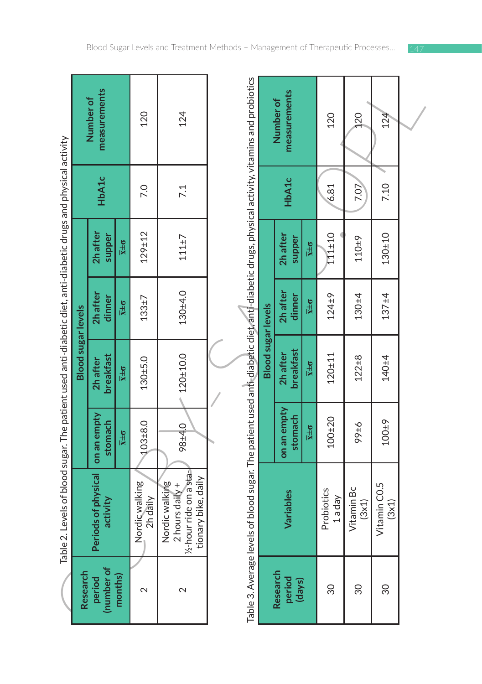| Research                     |                                                                                                                                              |                           | <b>Blood sugar levels</b>    |                           |                           |       |                           |
|------------------------------|----------------------------------------------------------------------------------------------------------------------------------------------|---------------------------|------------------------------|---------------------------|---------------------------|-------|---------------------------|
| (number of<br>period         | Periods of physical<br>activity                                                                                                              | on an empty<br>stomach    | <b>breakfast</b><br>2h after | 2h after<br>dinner        | 2h after<br>supper        | HbA1c | measurements<br>Number of |
| months)                      |                                                                                                                                              | $\overline{x} \pm \sigma$ | $\overline{x} \pm \sigma$    | $\overline{x} \pm \sigma$ | $\overline{x} \pm \sigma$ |       |                           |
| $\mathbf{\Omega}$            | Nordicwalking<br>2h daily                                                                                                                    | $103 + 8.0$               | $130 + 5.0$                  | $133 + 7$                 | $129 + 12$                | 7.0   | 120                       |
| 2                            | -hour ride on asta-<br>tionary bike, daily<br>Nordic walking<br>2 hours daily $+$<br>$\frac{1}{2}$                                           | 98±4.0                    | $-120+10.0$                  | 130±4.0                   | 111±7                     | 7.1   | 124                       |
|                              | Table 3. Average levels of blood sugar. The patient used anti-diabetic diet, anti-diabetic drugs, physical activity, vitamins and probiotics |                           |                              |                           |                           |       |                           |
|                              |                                                                                                                                              |                           | <b>Blood sugar levels</b>    |                           |                           |       |                           |
| Research<br>period<br>(days) | Variables                                                                                                                                    | on an empty<br>stomach    | breakfast<br>2h after        | 2h after<br>dinner        | 2h after<br>supper        | HbA1c | measurements<br>Number of |
|                              |                                                                                                                                              | $\overline{x} \pm \sigma$ | $\overline{x} \pm \sigma$    | $\overline{x} \pm \sigma$ | $\overline{x} \pm \sigma$ |       |                           |
| 30                           | Probiotics<br>1 a day                                                                                                                        | $100 + 20$                | $120 + 11$                   | $124 + 9$                 | 111±10                    | 6.81  | 120                       |
| 80                           | Vitamin Bc<br>(3x1)                                                                                                                          | 9766                      | $122 + 8$                    | $130 + 4$                 | $110 + 9$                 | 7.07  | 120                       |
| 80                           | Vitamin CO.5<br>(3x1)                                                                                                                        | $100 + 9$                 | $140 + 4$                    | $137 + 4$                 | 130±10                    | 7.10  | 124                       |
|                              |                                                                                                                                              |                           |                              |                           |                           |       |                           |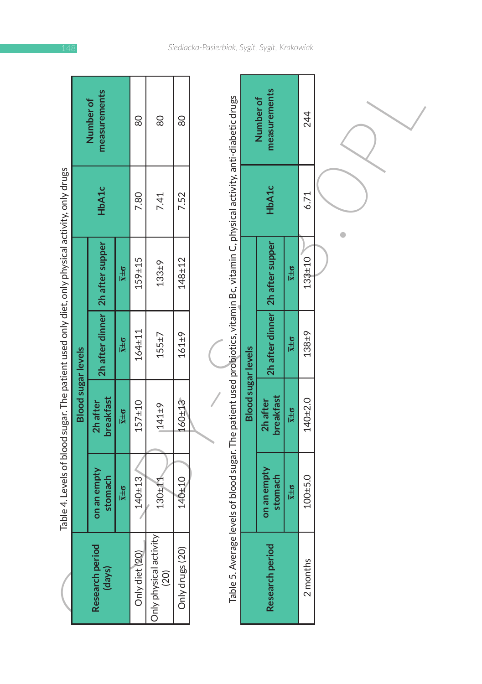|                                                                                                |                           | measurements<br><b>Number of</b>  |                             | 80             | 80                             | 80              |                                                                                                                                    |
|------------------------------------------------------------------------------------------------|---------------------------|-----------------------------------|-----------------------------|----------------|--------------------------------|-----------------|------------------------------------------------------------------------------------------------------------------------------------|
|                                                                                                |                           | HbA1c                             |                             | 7.80           | 7.41                           | 7.52            |                                                                                                                                    |
|                                                                                                |                           | 2h after dinner   2h after supper | $\overline{x}$ $\pm \sigma$ | 159±15         | $133 + 9$                      | $148 + 12$      |                                                                                                                                    |
| Table 4. Levels of blood sugar. The patient used only diet, only physical activity, only drugs |                           |                                   | $\overline{x} \pm \sigma$   | $164 + 11$     | 155±7                          | $161 + 9$       |                                                                                                                                    |
|                                                                                                | <b>Blood sugar levels</b> | breakfast<br>2h after             | $\overline{x} \pm \sigma$   | $157 + 10$     | 141±9                          | 160±13          |                                                                                                                                    |
|                                                                                                |                           | on an empty<br>stomach            | $\overline{x} \pm \sigma$   | $140 + 13$     | $130 + 11$                     | 140±10          | Table 5. Average levels of blood sugar. The patient used probiotics, vitamin Bc, vitamin C, physical activity, anti-diabetic drugs |
|                                                                                                |                           | Research period<br>(days)         |                             | Only diet (20) | Only physical activity<br>(20) | Only drugs (20) |                                                                                                                                    |

|                                                                                                |                           | measurements<br>Number of |                           | 80             | 80                             | 80              |                                                                                                                                    |                           | measurements<br>Number of |                           | 244         |  |
|------------------------------------------------------------------------------------------------|---------------------------|---------------------------|---------------------------|----------------|--------------------------------|-----------------|------------------------------------------------------------------------------------------------------------------------------------|---------------------------|---------------------------|---------------------------|-------------|--|
|                                                                                                |                           | HbA1c                     |                           | 7.80           | 7.41                           | 7.52            |                                                                                                                                    |                           | HbA1c                     |                           | 6.71        |  |
|                                                                                                |                           | 2h after supper           | $\overline{x} \pm \sigma$ | $159 + 15$     | $133 + 9$                      | $148 + 12$      |                                                                                                                                    |                           | 2h after supper           | $\overline{x} \pm \sigma$ | 133±10      |  |
| Table 4. Levels of blood sugar. The patient used only diet, only physical activity, only drugs |                           | 2h after dinner           | $\overline{x} \pm \sigma$ | $164 + 11$     | 155 ± 7                        | $161 + 9$       |                                                                                                                                    |                           | 2h after dinner           | $\overline{x} \pm \sigma$ | 138±9       |  |
|                                                                                                | <b>Blood sugar levels</b> | breakfast<br>2h after     | $\overline{x} \pm \sigma$ | $157 + 10$     | $141+9$                        | 160±13          |                                                                                                                                    | <b>Blood sugar levels</b> | breakfast<br>2h after     | $\overline{x} \pm \sigma$ | 140±2.0     |  |
|                                                                                                |                           | on an empty<br>stomach    | $\overline{x} \pm \sigma$ | $140 + 13$     | 130+11                         | 140±10          |                                                                                                                                    |                           | on an empty<br>stomach    | $\overline{x} \pm \sigma$ | $100 + 5.0$ |  |
|                                                                                                |                           | Research period<br>(days) |                           | Only diet (20) | Only physical activity<br>(20) | Only drugs (20) | Table 5. Average levels of blood sugar. The patient used probiotics, vitamin Bc, vitamin C, physical activity, anti-diabetic drugs |                           | Research period           |                           | 2 months    |  |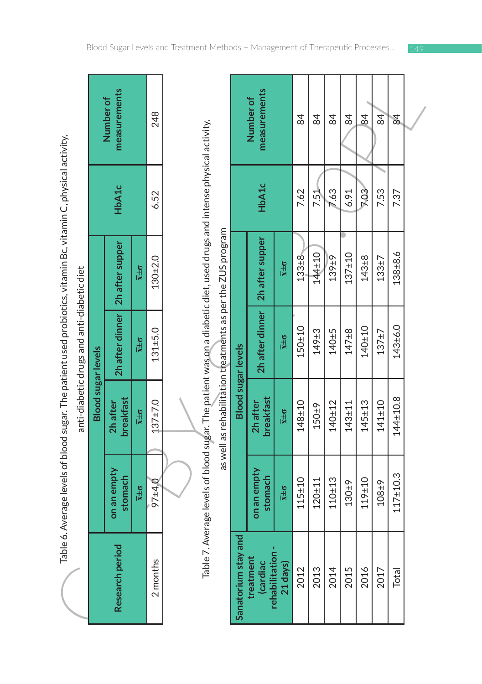|                                            |                           | neasurements<br>Number of         | 248                         |               |  |
|--------------------------------------------|---------------------------|-----------------------------------|-----------------------------|---------------|--|
|                                            |                           | HbA1c                             |                             | 6.52          |  |
|                                            |                           |                                   | $\overline{x}$ ± $\sigma$   | 130±2.0       |  |
| anti-diabetic drugs and anti-diabetic diet |                           | 2h after dinner   2h after supper | $X\pm\sigma$                | $131 + 5.0$   |  |
|                                            | <b>Blood sugar levels</b> | <b>breakfast</b><br>2h after      | $X \pm 0$                   | $137 \pm 7.0$ |  |
|                                            |                           | on an empty<br>stomach            | $\overline{x}$ $\pm \sigma$ | 97±4.0        |  |
|                                            |                           | <b>Research period</b>            |                             | 2 months      |  |

|                                                                                                                |                           | measurements<br>Number of |                           | 248         |                                                                                                                       |                                                             |                           | measurements<br>Number of                |                             | 84         | $\overline{4}$ | 84         | 84         | 84          | 84         | $\overline{8}$ |  |
|----------------------------------------------------------------------------------------------------------------|---------------------------|---------------------------|---------------------------|-------------|-----------------------------------------------------------------------------------------------------------------------|-------------------------------------------------------------|---------------------------|------------------------------------------|-----------------------------|------------|----------------|------------|------------|-------------|------------|----------------|--|
|                                                                                                                |                           | HbA1c                     |                           | 6.52        |                                                                                                                       |                                                             |                           | HbA1c                                    |                             | 7.62       | <b>7.51</b>    | 7.63       | 6.91       | <b>P.03</b> | 7.53       | 7.37           |  |
|                                                                                                                |                           | 2h after supper           | $\overline{x} \pm \sigma$ | 130±2.0     |                                                                                                                       | as well as rehabilitation theatments as per the ZUS program |                           | 2h after supper                          | $\overline{x} \pm \sigma$   | $133 + 8$  | 144±10         | 139±9      | $137 + 10$ | $143 + 8$   | $133 + 7$  | 138±8.6        |  |
| anti-diabetic drugs and anti-diabetic diet                                                                     |                           | 2h after dinner           | $\overline{x} \pm \sigma$ | $131 + 5.0$ | Table 7. Average levels of blood sugar. The patient was on a diabetic diet, used drugs and intense physical activity, |                                                             | <b>Blood sugar levels</b> | 2h after dinner                          | $\overline{x} \pm \sigma$   | 150±10     | 149±3          | $140 + 5$  | $147 + 8$  | $140 + 10$  | $137 + 7$  | 143±6.0        |  |
|                                                                                                                | <b>Blood sugar levels</b> | breakfast<br>2h after     | $\overline{x} \pm \sigma$ | $137 + 7.0$ |                                                                                                                       |                                                             |                           | breakfast<br>2h after                    | $\overline{x} \pm \sigma$   | $148 + 10$ | $150 + 9$      | $140 + 12$ | $143 + 11$ | $145 + 13$  | $141 + 10$ | $144 + 10.8$   |  |
| Table 6. Average levels of blood sugar. The patient used probiotics, vitamin Bc, vitamin C, physical activity, |                           | on an empty<br>stomach    | $\overline{x} \pm \sigma$ | 97±4,0      |                                                                                                                       |                                                             |                           | on an empty<br>stomach                   | $\overline{x}$ $\pm \sigma$ | $115 + 10$ | $120 + 11$     | $110 + 13$ | $130 + 9$  | 119±10      | 108±9      | $117 + 10.3$   |  |
|                                                                                                                |                           | Research period           |                           | 2 months    |                                                                                                                       |                                                             | Sanatorium stay and       | rehabilitation-<br>treatment<br>(cardiac | 21 days)                    | 2012       | 2013           | 2014       | 2015       | 2016        | 2017       | <b>Total</b>   |  |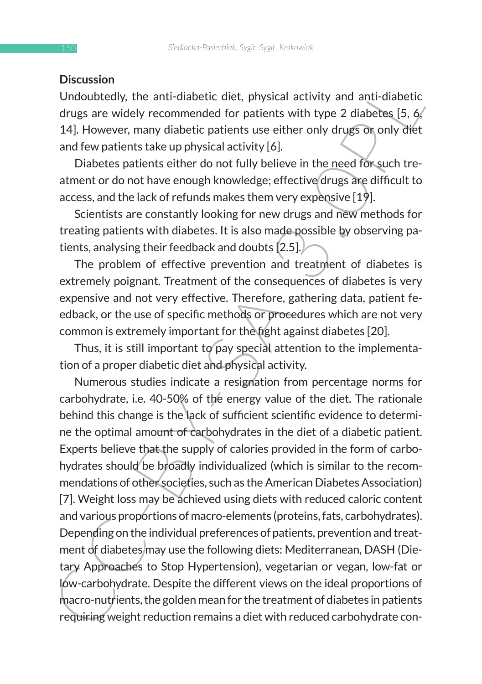#### **Discussion**

Undoubtedly, the anti-diabetic diet, physical activity and anti-diabetic drugs are widely recommended for patients with type 2 diabetes [5, 6, 14]. However, many diabetic patients use either only drugs or only diet and few patients take up physical activity [6].

Diabetes patients either do not fully believe in the need for such treatment or do not have enough knowledge; effective drugs are difficult to access, and the lack of refunds makes them very expensive [19].

Scientists are constantly looking for new drugs and new methods for treating patients with diabetes. It is also made possible by observing patients, analysing their feedback and doubts [2.5].

The problem of effective prevention and treatment of diabetes is extremely poignant. Treatment of the consequences of diabetes is very expensive and not very effective. Therefore, gathering data, patient feedback, or the use of specific methods or procedures which are not very common is extremely important for the fight against diabetes [20].

Thus, it is still important to pay special attention to the implementation of a proper diabetic diet and physical activity.

**Undoubtedly**, the anti-diabetic diet, physical activity and anti-diabetic drugs are widely recommended for patients with type 2 diabetes [5, 6/14]. However, many diabetic patients use either only drugs  $\overline{S}$  on only d Numerous studies indicate a resignation from percentage norms for carbohydrate, i.e. 40-50% of the energy value of the diet. The rationale behind this change is the lack of sufficient scientific evidence to determine the optimal amount of carbohydrates in the diet of a diabetic patient. Experts believe that the supply of calories provided in the form of carbohydrates should be broadly individualized (which is similar to the recommendations of other societies, such as the American Diabetes Association) [7]. Weight loss may be achieved using diets with reduced caloric content and various proportions of macro-elements (proteins, fats, carbohydrates). Depending on the individual preferences of patients, prevention and treatment of diabetes may use the following diets: Mediterranean, DASH (Dietary Approaches to Stop Hypertension), vegetarian or vegan, low-fat or low-carbohydrate. Despite the different views on the ideal proportions of macro-nutrients, the golden mean for the treatment of diabetes in patients requiring weight reduction remains a diet with reduced carbohydrate con-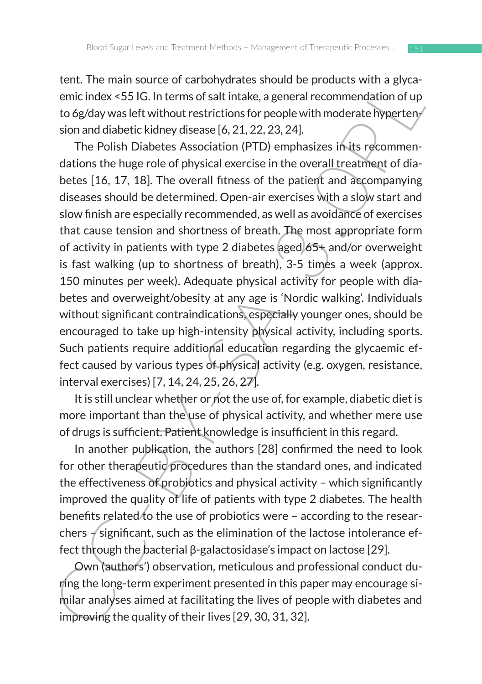tent. The main source of carbohydrates should be products with a glycaemic index <55 IG. In terms of salt intake, a general recommendation of up to 6g/day was left without restrictions for people with moderate hypertension and diabetic kidney disease [6, 21, 22, 23, 24].

ten: In the mainstore of carolony<br>unas solutio de products with a give-<br>clemic index <551G. In terms of salt intake, a general recommendation of up<br>to 6g/day was left without restrictions for people with moderate Ryperter The Polish Diabetes Association (PTD) emphasizes in its recommendations the huge role of physical exercise in the overall treatment of diabetes [16, 17, 18]. The overall fitness of the patient and accompanying diseases should be determined. Open-air exercises with a slow start and slow finish are especially recommended, as well as avoidance of exercises that cause tension and shortness of breath. The most appropriate form of activity in patients with type 2 diabetes aged 65+ and/or overweight is fast walking (up to shortness of breath), 3-5 times a week (approx. 150 minutes per week). Adequate physical activity for people with diabetes and overweight/obesity at any age is 'Nordic walking'. Individuals without significant contraindications, especially younger ones, should be encouraged to take up high-intensity physical activity, including sports. Such patients require additional education regarding the glycaemic effect caused by various types of physical activity (e.g. oxygen, resistance, interval exercises) [7, 14, 24, 25, 26, 27].

It is still unclear whether or not the use of, for example, diabetic diet is more important than the use of physical activity, and whether mere use of drugs is sufficient. Patient knowledge is insufficient in this regard.

In another publication, the authors [28] confirmed the need to look for other therapeutic procedures than the standard ones, and indicated the effectiveness of probiotics and physical activity – which significantly improved the quality of life of patients with type 2 diabetes. The health benefits related to the use of probiotics were - according to the researchers  $\measuredangle$  significant, such as the elimination of the lactose intolerance effect through the bacterial β-galactosidase's impact on lactose [29].

Own (authors') observation, meticulous and professional conduct during the long-term experiment presented in this paper may encourage similar analyses aimed at facilitating the lives of people with diabetes and improving the quality of their lives [29, 30, 31, 32].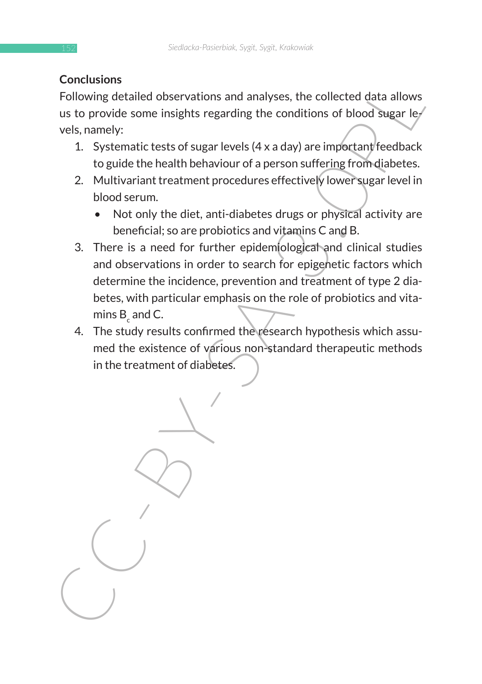### **Conclusions**

Following detailed observations and analyses, the collected data allows us to provide some insights regarding the conditions of blood sugar levels, namely:

- 1. Systematic tests of sugar levels  $(4 \times a \, \text{day})$  are important feedback to guide the health behaviour of a person suffering from diabetes.
- 2. Multivariant treatment procedures effectively lower sugar level in blood serum.
	- Not only the diet, anti-diabetes drugs or physical activity are beneficial; so are probiotics and vitamins C and B.
- 3. There is a need for further epidemiological and clinical studies and observations in order to search for epigenetic factors which determine the incidence, prevention and treatment of type 2 diabetes, with particular emphasis on the role of probiotics and vitamins  $\mathsf{B}_{\mathsf{c}}$  and C.
- 4. The study results confirmed the research hypothesis which assumed the existence of various non-standard therapeutic methods in the treatment of diabetes.

Conclusions and analyses, the collected data allows<br>
Following detailed observations and analyses, the collected data allows<br>
us to provide some insights regarding the conditions of blood sugar level<br>
1. Systematic tests o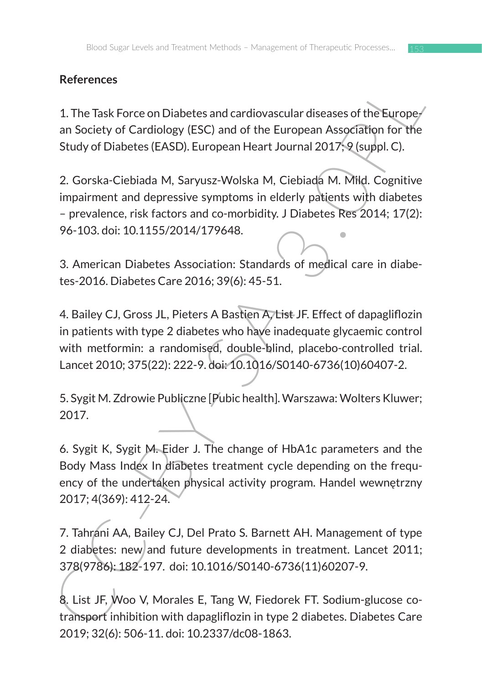# **References**

1. The Task Force on Diabetes and cardiovascular diseases of the European Society of Cardiology (ESC) and of the European Association for the Study of Diabetes (EASD). European Heart Journal 2017; 9 (suppl. C).

References<br>
1. The Task Force on Diabetes and cardiovascular diseases of the Europe/<br>
an Society of Cardiology (ESC) and of the European Association for the<br>
Study of Diabetes (EASD). European Heart Journal 2017;<sup>9</sup> (suppl 2. Gorska-Ciebiada M, Saryusz-Wolska M, Ciebiada M. Mild. Cognitive impairment and depressive symptoms in elderly patients with diabetes – prevalence, risk factors and co-morbidity. J Diabetes Res 2014; 17(2): 96-103. doi: 10.1155/2014/179648.

3. American Diabetes Association: Standards of medical care in diabetes-2016. Diabetes Care 2016; 39(6): 45-51.

4. Bailey CJ, Gross JL, Pieters A Bastien A, List JF. Effect of dapagliflozin in patients with type 2 diabetes who have inadequate glycaemic control with metformin: a randomised, double-blind, placebo-controlled trial. Lancet 2010; 375(22): 222-9. doi: 10.1016/S0140-6736(10)60407-2.

5. Sygit M. Zdrowie Publiczne [Pubic health]. Warszawa: Wolters Kluwer; 2017.

6. Sygit K, Sygit M. Eider J. The change of HbA1c parameters and the Body Mass Index In diabetes treatment cycle depending on the frequency of the undertaken physical activity program. Handel wewnętrzny 2017; 4(369): 412-24.

7. Tahrani AA, Bailey CJ, Del Prato S. Barnett AH. Management of type 2 diabetes: new and future developments in treatment. Lancet 2011; 378(9786): 182-197. doi: 10.1016/S0140-6736(11)60207-9.

8. List JF, Woo V, Morales E, Tang W, Fiedorek FT. Sodium-glucose cotransport inhibition with dapagliflozin in type 2 diabetes. Diabetes Care 2019; 32(6): 506-11. doi: 10.2337/dc08-1863.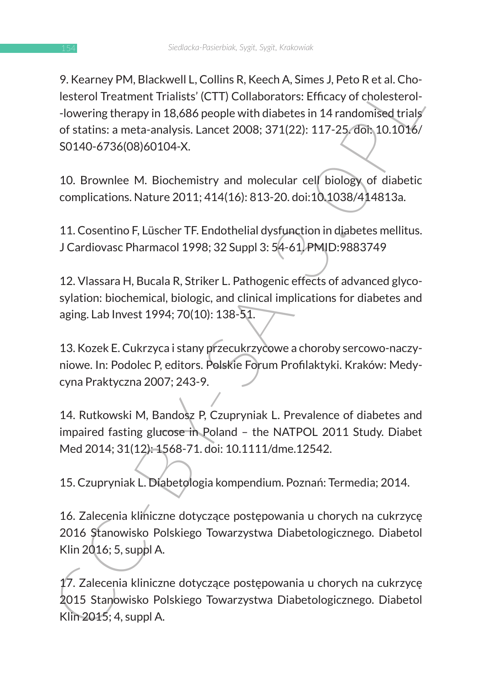9. Keeliney PVP, blackwelt, Colinis K, keelin, Sans, Jeeun K et al. Clinis (CTI)<br>Collaborators: Efficety of cholestero-<br>-lowering therapy in 18,686 people with diabetes in 14 randomised trials<br>of statins: a meta-analysis. 9. Kearney PM, Blackwell L, Collins R, Keech A, Simes J, Peto R et al. Cholesterol Treatment Trialists' (CTT) Collaborators: Efficacy of cholesterol- -lowering therapy in 18,686 people with diabetes in 14 randomised trials of statins: a meta-analysis. Lancet 2008; 371(22): 117-25. doi: 10.1016/ S0140-6736(08)60104-X.

10. Brownlee M. Biochemistry and molecular cell biology of diabetic complications. Nature 2011; 414(16): 813-20. doi:10.1038/414813a.

11. Cosentino F, Lüscher TF. Endothelial dysfunction in diabetes mellitus. J Cardiovasc Pharmacol 1998; 32 Suppl 3: 54-61. PMID:9883749

12. Vlassara H, Bucala R, Striker L. Pathogenic effects of advanced glycosylation: biochemical, biologic, and clinical implications for diabetes and aging. Lab Invest 1994; 70(10): 138-51.

13. Kozek E. Cukrzyca i stany przecukrzycowe a choroby sercowo-naczyniowe. In: Podolec P, editors. Polskie Forum Profilaktyki. Kraków: Medycyna Praktyczna 2007; 243-9.

14. Rutkowski M, Bandosz P, Czupryniak L. Prevalence of diabetes and impaired fasting glucose in Poland – the NATPOL 2011 Study. Diabet Med 2014; 31(12): 1568-71. doi: 10.1111/dme.12542.

15. Czupryniak L. Diabetologia kompendium. Poznań: Termedia; 2014.

16. Zalecenia kliniczne dotyczące postępowania u chorych na cukrzycę 2016 Stanowisko Polskiego Towarzystwa Diabetologicznego. Diabetol Klin 2016; 5, suppl A.

17. Zalecenia kliniczne dotyczące postępowania u chorych na cukrzycę 2015 Stanowisko Polskiego Towarzystwa Diabetologicznego. Diabetol Klin 2015; 4, suppl A.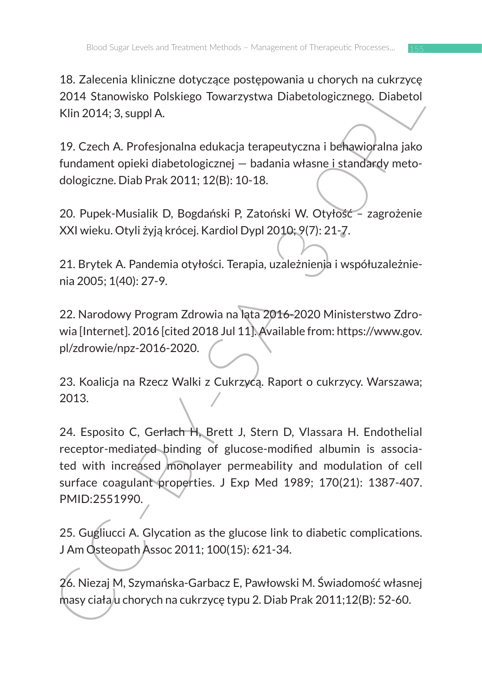18. Zalecenia kliniczne dotyczące postępowania u chorych na cukrzycę 2014 Stanowisko Polskiego Towarzystwa Diabetologicznego. Diabetol Klin 2014; 3, suppl A.

19. Czech A. Profesjonalna edukacja terapeutyczna i behawioralna jako fundament opieki diabetologicznej — badania własne i standardy metodologiczne. Diab Prak 2011; 12(B): 10-18.

20. Pupek-Musialik D, Bogdański P, Zatoński W. Otyłość – zagrożenie XXI wieku. Otyli żyją krócej. Kardiol Dypl 2010; 9(7): 21-7.

21. Brytek A. Pandemia otyłości. Terapia, uzależnienia i współuzależnienia 2005; 1(40): 27-9.

22. Narodowy Program Zdrowia na lata 2016-2020 Ministerstwo Zdrowia [Internet]. 2016 [cited 2018 Jul 11]. Available from: https://www.gov. pl/zdrowie/npz-2016-2020.

23. Koalicja na Rzecz Walki z Cukrzycą. Raport o cukrzycy. Warszawa; 2013.

1. Zatetellia kininczne utorycząte postępowalnia u chorycznego. Diabetol<br>2014 Stanowisko Polskiego Towarzystwa Diabetologicznego. Diabetol<br>Klin 2014; 3, suppl A.<br>19. Czech A. Profesjonalna edukacja terapeutyczna i behawior 24. Esposito C, Gerlach H, Brett J, Stern D, Vlassara H. Endothelial receptor-mediated binding of glucose-modified albumin is associated with increased monolayer permeability and modulation of cell surface coagulant properties. J Exp Med 1989; 170(21): 1387-407. PMID:2551990.

25. Gugliucci A. Glycation as the glucose link to diabetic complications. J Am Osteopath Assoc 2011; 100(15): 621-34.

26. Niezaj M, Szymańska-Garbacz E, Pawłowski M. Świadomość własnej masy ciała u chorych na cukrzycę typu 2. Diab Prak 2011;12(B): 52-60.